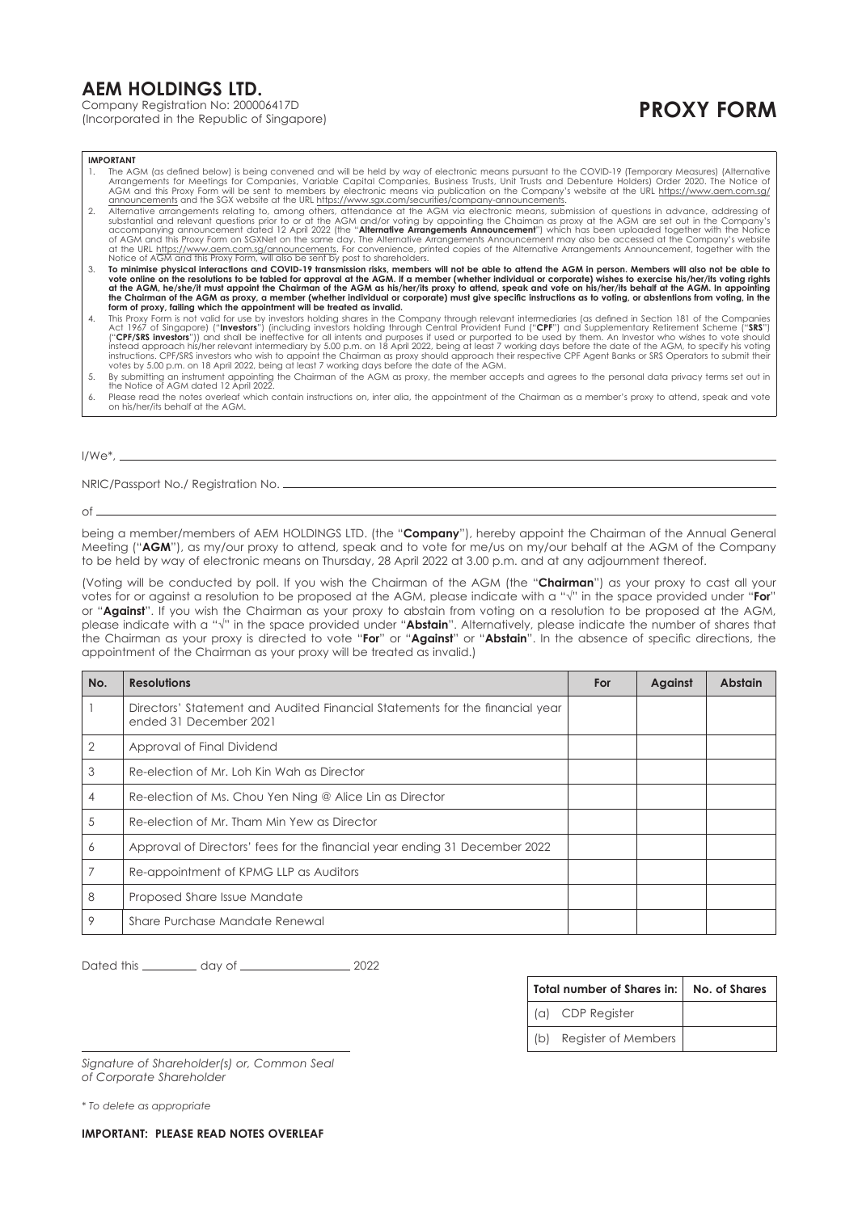## **AEM HOLDINGS LTD.**

Company Registration No: 200006417D

(Incorporated in the Republic of Singapore) **PROXY FORM**

**IMPORTANT**

- 
- 1. The AGM (as defined below) is being convened and will be held by way of electronic means pursuant to the COVID-19 (Temporary Measures) (Alternative Arrangements for Meetings for Companies, Variable Capital Companies, Bu
- To minimise physical interactions and COVID-19 transmission risks, members will not be able to attend the AGM in person. Members will also not be able to the able to space to the term on the resolutions to be table to an i the Chairman of the AGM as proxy, a member (whether individual or corporate) must give specific instructions as to voting, or abstentions from voting, in the<br>form of proxy, failing which the appointment will be treated as
- 1. This Proxy Form is not valid for use by investors holding shares in the Company through relevant intermediaries (as defined in Section 181 of the Companies<br>Act 1967 of Singapore) ("Investors") (including investors holdi instead approach his/her relevant intermediary by 5.00 p.m. on 18 April 2022, being at least 7 working days before the date of the AGM, to specify his voting<br>instructions. CPF/SRS investors who wish to appoint the Chairman
- 5. By submitting an instrument appointing the Chairman of the AGM as proxy, the member accepts and agrees to the personal data privacy terms set out in the Notice of AGM dated 12 April 2022.
- 6. Please read the notes overleaf which contain instructions on, inter alia, the appointment of the Chairman as a member's proxy to attend, speak and vote on his/her/its behalf at the AGM.

I/We\*,

NRIC/Passport No./ Registration No.

of

being a member/members of AEM HOLDINGS LTD. (the "**Company**"), hereby appoint the Chairman of the Annual General Meeting ("**AGM**"), as my/our proxy to attend, speak and to vote for me/us on my/our behalf at the AGM of the Company to be held by way of electronic means on Thursday, 28 April 2022 at 3.00 p.m. and at any adjournment thereof.

(Voting will be conducted by poll. If you wish the Chairman of the AGM (the "**Chairman**") as your proxy to cast all your votes for or against a resolution to be proposed at the AGM, please indicate with a "√" in the space provided under "**For**" or "**Against**". If you wish the Chairman as your proxy to abstain from voting on a resolution to be proposed at the AGM, please indicate with a "√" in the space provided under "**Abstain**". Alternatively, please indicate the number of shares that the Chairman as your proxy is directed to vote "**For**" or "**Against**" or "**Abstain**". In the absence of specific directions, the appointment of the Chairman as your proxy will be treated as invalid.)

| No.            | <b>Resolutions</b>                                                                                     | For | Against | <b>Abstain</b> |
|----------------|--------------------------------------------------------------------------------------------------------|-----|---------|----------------|
|                | Directors' Statement and Audited Financial Statements for the financial year<br>ended 31 December 2021 |     |         |                |
| 2              | Approval of Final Dividend                                                                             |     |         |                |
| 3              | Re-election of Mr. Loh Kin Wah as Director                                                             |     |         |                |
| $\overline{4}$ | Re-election of Ms. Chou Yen Ning @ Alice Lin as Director                                               |     |         |                |
| 5              | Re-election of Mr. Tham Min Yew as Director                                                            |     |         |                |
| 6              | Approval of Directors' fees for the financial year ending 31 December 2022                             |     |         |                |
| $\overline{7}$ | Re-appointment of KPMG LLP as Auditors                                                                 |     |         |                |
| 8              | Proposed Share Issue Mandate                                                                           |     |         |                |
| 9              | Share Purchase Mandate Renewal                                                                         |     |         |                |

Dated this day of 2022

| Total number of Shares in: | No. of Shares |
|----------------------------|---------------|
| (a) CDP Register           |               |
| (b) Register of Members    |               |

*Signature of Shareholder(s) or, Common Seal of Corporate Shareholder*

*\* To delete as appropriate*